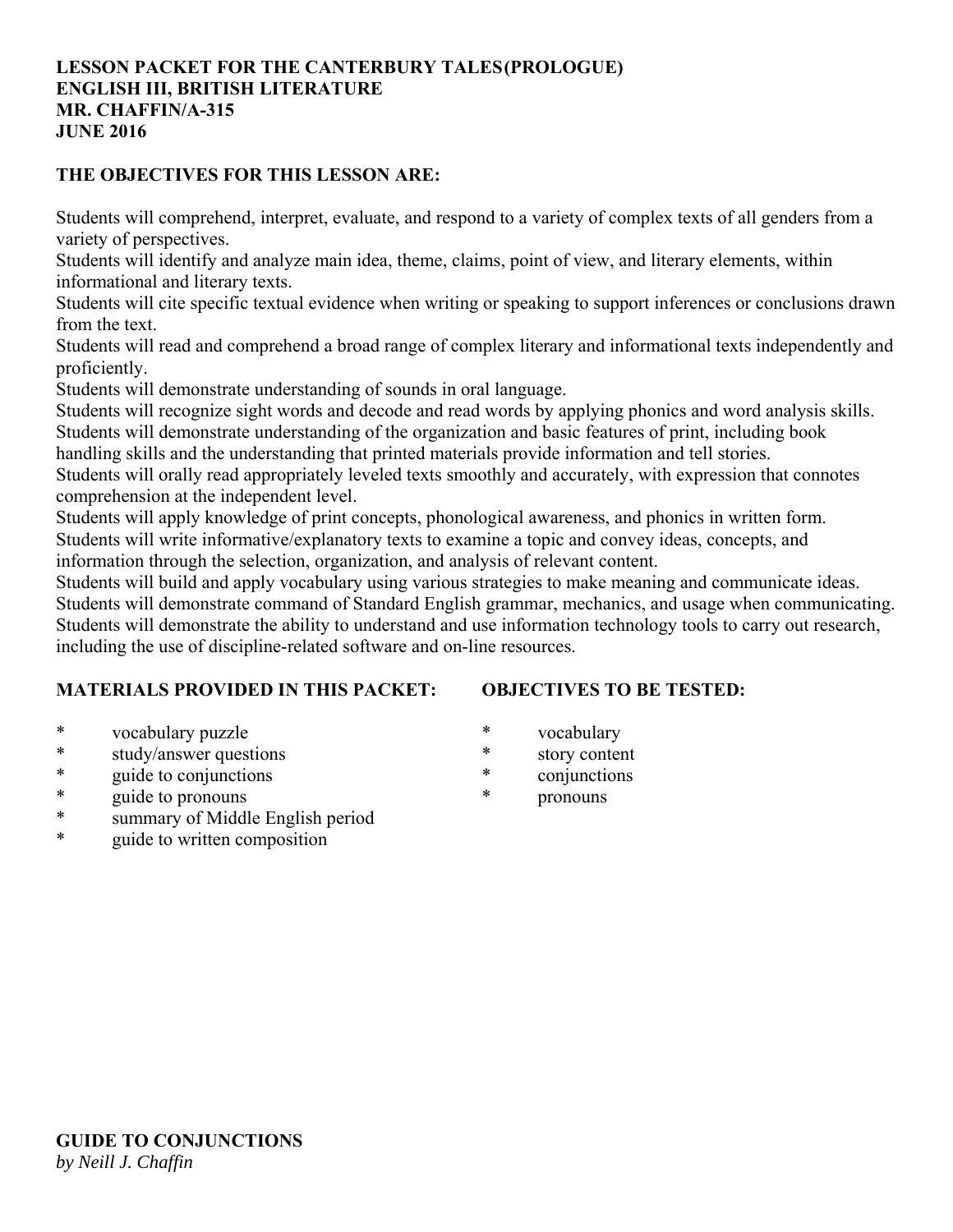# **LESSON PACKET FOR THE CANTERBURY TALES (PROLOGUE) ENGLISH III, BRITISH LITERATURE MR. CHAFFIN/A-315 JUNE 2016**

# **THE OBJECTIVES FOR THIS LESSON ARE:**

Students will comprehend, interpret, evaluate, and respond to a variety of complex texts of all genders from a variety of perspectives.

Students will identify and analyze main idea, theme, claims, point of view, and literary elements, within informational and literary texts.

Students will cite specific textual evidence when writing or speaking to support inferences or conclusions drawn from the text.

Students will read and comprehend a broad range of complex literary and informational texts independently and proficiently.

Students will demonstrate understanding of sounds in oral language.

Students will recognize sight words and decode and read words by applying phonics and word analysis skills. Students will demonstrate understanding of the organization and basic features of print, including book

handling skills and the understanding that printed materials provide information and tell stories.

Students will orally read appropriately leveled texts smoothly and accurately, with expression that connotes comprehension at the independent level.

Students will apply knowledge of print concepts, phonological awareness, and phonics in written form. Students will write informative/explanatory texts to examine a topic and convey ideas, concepts, and information through the selection, organization, and analysis of relevant content.

Students will build and apply vocabulary using various strategies to make meaning and communicate ideas. Students will demonstrate command of Standard English grammar, mechanics, and usage when communicating. Students will demonstrate the ability to understand and use information technology tools to carry out research, including the use of discipline-related software and on-line resources.

# **MATERIALS PROVIDED IN THIS PACKET:**

# **OBJECTIVES TO BE TESTED:**

- \* vocabulary puzzle
- \* study/answer questions
- \* guide to conjunctions
- \* guide to pronouns
- \* summary of Middle English period
- \* guide to written composition
- \* vocabulary
- \* story content
- \* conjunctions
- pronouns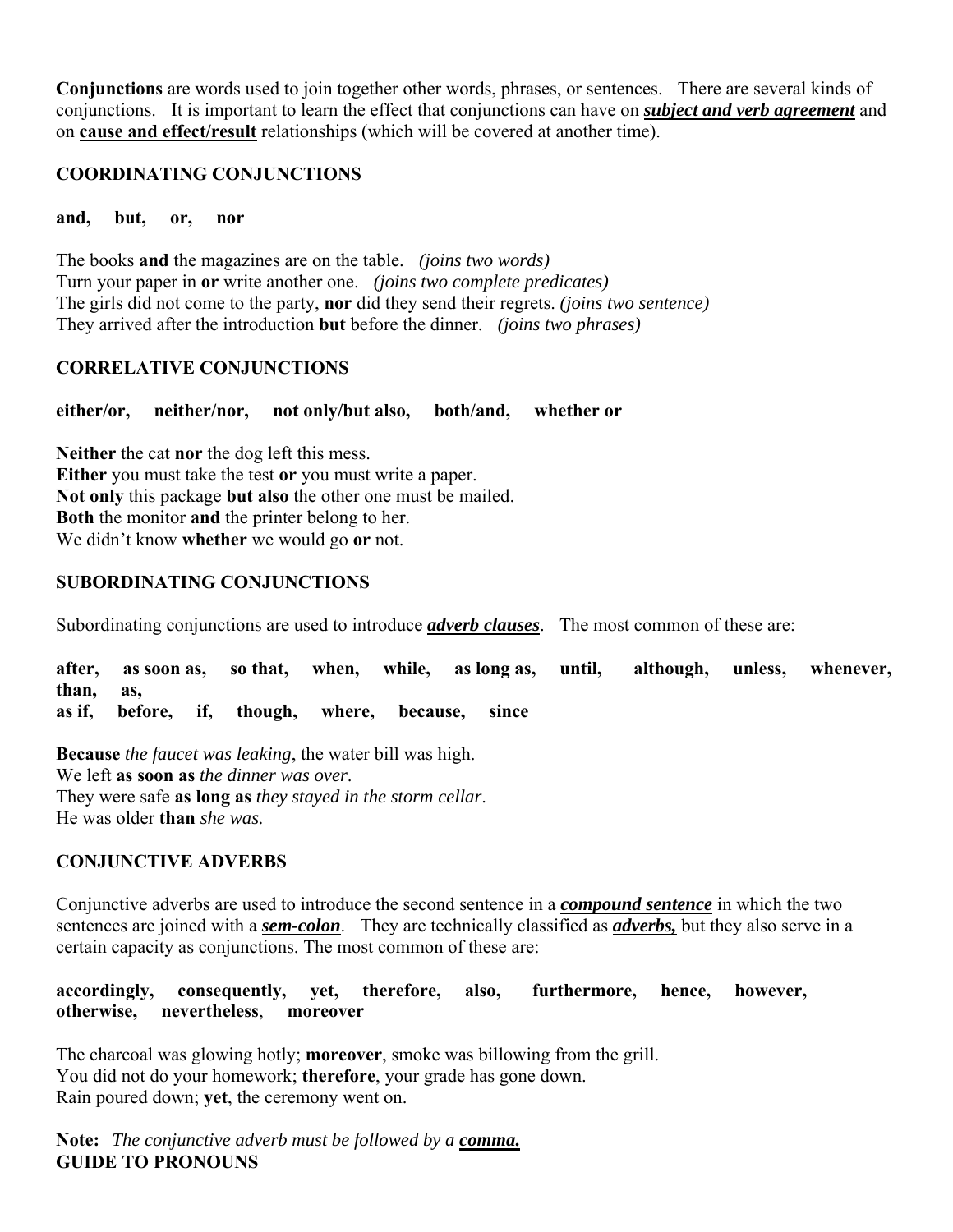**Conjunctions** are words used to join together other words, phrases, or sentences. There are several kinds of conjunctions. It is important to learn the effect that conjunctions can have on *subject and verb agreement* and on **cause and effect/result** relationships (which will be covered at another time).

# **COORDINATING CONJUNCTIONS**

**and, but, or, nor**

The books **and** the magazines are on the table. *(joins two words)* Turn your paper in **or** write another one. *(joins two complete predicates)* The girls did not come to the party, **nor** did they send their regrets. *(joins two sentence)* They arrived after the introduction **but** before the dinner. *(joins two phrases)*

# **CORRELATIVE CONJUNCTIONS**

**either/or, neither/nor, not only/but also, both/and, whether or**

**Neither** the cat **nor** the dog left this mess. **Either** you must take the test **or** you must write a paper. **Not only** this package **but also** the other one must be mailed. **Both** the monitor **and** the printer belong to her. We didn't know **whether** we would go **or** not.

# **SUBORDINATING CONJUNCTIONS**

Subordinating conjunctions are used to introduce *adverb clauses*. The most common of these are:

**after, as soon as, so that, when, while, as long as, until, although, unless, whenever, than, as, as if, before, if, though, where, because, since**

**Because** *the faucet was leaking*, the water bill was high. We left **as soon as** *the dinner was over*. They were safe **as long as** *they stayed in the storm cellar*. He was older **than** *she was.*

## **CONJUNCTIVE ADVERBS**

Conjunctive adverbs are used to introduce the second sentence in a *compound sentence* in which the two sentences are joined with a *sem-colon*. They are technically classified as *adverbs,* but they also serve in a certain capacity as conjunctions. The most common of these are:

**accordingly, consequently, yet, therefore, also, furthermore, hence, however, otherwise, nevertheless**, **moreover**

The charcoal was glowing hotly; **moreover**, smoke was billowing from the grill. You did not do your homework; **therefore**, your grade has gone down. Rain poured down; **yet**, the ceremony went on.

**Note:** *The conjunctive adverb must be followed by a comma.* **GUIDE TO PRONOUNS**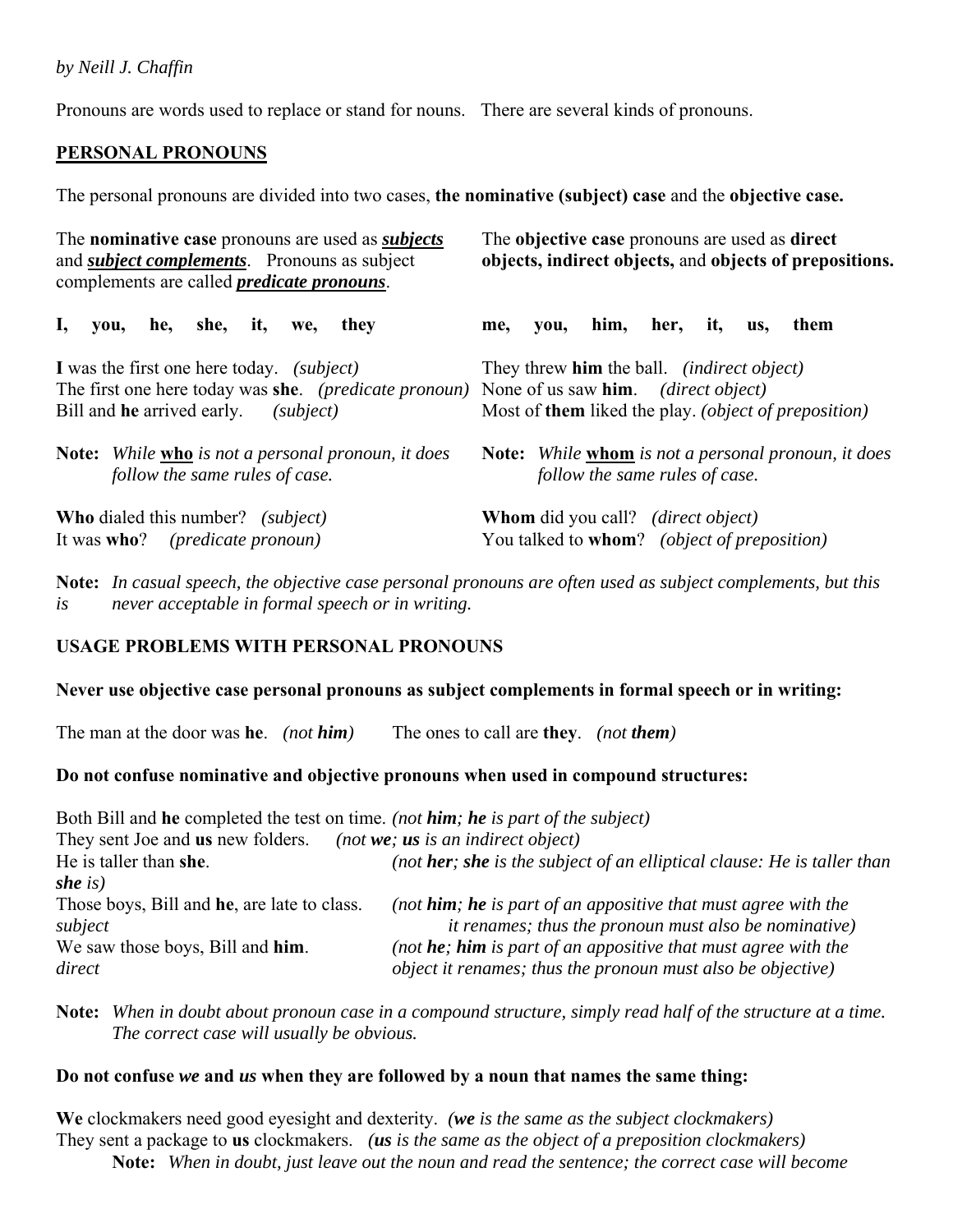# *by Neill J. Chaffin*

Pronouns are words used to replace or stand for nouns. There are several kinds of pronouns.

# **PERSONAL PRONOUNS**

The personal pronouns are divided into two cases, **the nominative (subject) case** and the **objective case.**

| The <b>nominative case</b> pronouns are used as <i>subjects</i><br>and <i>subject complements</i> . Pronouns as subject<br>complements are called <i>predicate pronouns</i> . | The objective case pronouns are used as direct<br>objects, indirect objects, and objects of prepositions.                                                                    |  |  |
|-------------------------------------------------------------------------------------------------------------------------------------------------------------------------------|------------------------------------------------------------------------------------------------------------------------------------------------------------------------------|--|--|
| $\mathbf{I}_{\bullet}$<br>he,<br>she, it,<br>they<br>you,<br>we,                                                                                                              | him, her, it,<br>them<br>me,<br>you,<br>us,                                                                                                                                  |  |  |
| I was the first one here today. <i>(subject)</i><br>The first one here today was she. (predicate pronoun)<br>Bill and <b>he</b> arrived early.<br>subject)                    | They threw <b>him</b> the ball. <i>(indirect object)</i><br>None of us saw him. <i>(direct object)</i><br>Most of <b>them</b> liked the play. <i>(object of preposition)</i> |  |  |
| <b>Note:</b> While <b>who</b> is not a personal pronoun, it does<br>follow the same rules of case.                                                                            | Note: While whom is not a personal pronoun, it does<br>follow the same rules of case.                                                                                        |  |  |
| <b>Who</b> dialed this number? <i>(subject)</i><br>It was <b>who</b> ? ( <i>predicate pronoun</i> )                                                                           | <b>Whom</b> did you call? <i>(direct object)</i><br>You talked to whom? (object of preposition)                                                                              |  |  |

**Note:** *In casual speech, the objective case personal pronouns are often used as subject complements, but this is never acceptable in formal speech or in writing.*

## **USAGE PROBLEMS WITH PERSONAL PRONOUNS**

## **Never use objective case personal pronouns as subject complements in formal speech or in writing:**

The man at the door was **he**. *(not him)* The ones to call are **they**. *(not them)*

# **Do not confuse nominative and objective pronouns when used in compound structures:**

Both Bill and **he** completed the test on time. *(not him; he is part of the subject)* They sent Joe and **us** new folders. *(not we; us is an indirect object)* He is taller than **she**. *(not her; she is the subject of an elliptical clause: He is taller than she is)* Those boys, Bill and **he**, are late to class. *(not him; he is part of an appositive that must agree with the subject it renames; thus the pronoun must also be nominative)* We saw those boys, Bill and **him**. *(not he; him is part of an appositive that must agree with the direct object it renames; thus the pronoun must also be objective)*

**Note:** *When in doubt about pronoun case in a compound structure, simply read half of the structure at a time. The correct case will usually be obvious.*

## **Do not confuse** *we* **and** *us* **when they are followed by a noun that names the same thing:**

**We** clockmakers need good eyesight and dexterity. *(we is the same as the subject clockmakers)* They sent a package to **us** clockmakers. *(us is the same as the object of a preposition clockmakers)*  **Note:** *When in doubt, just leave out the noun and read the sentence; the correct case will become*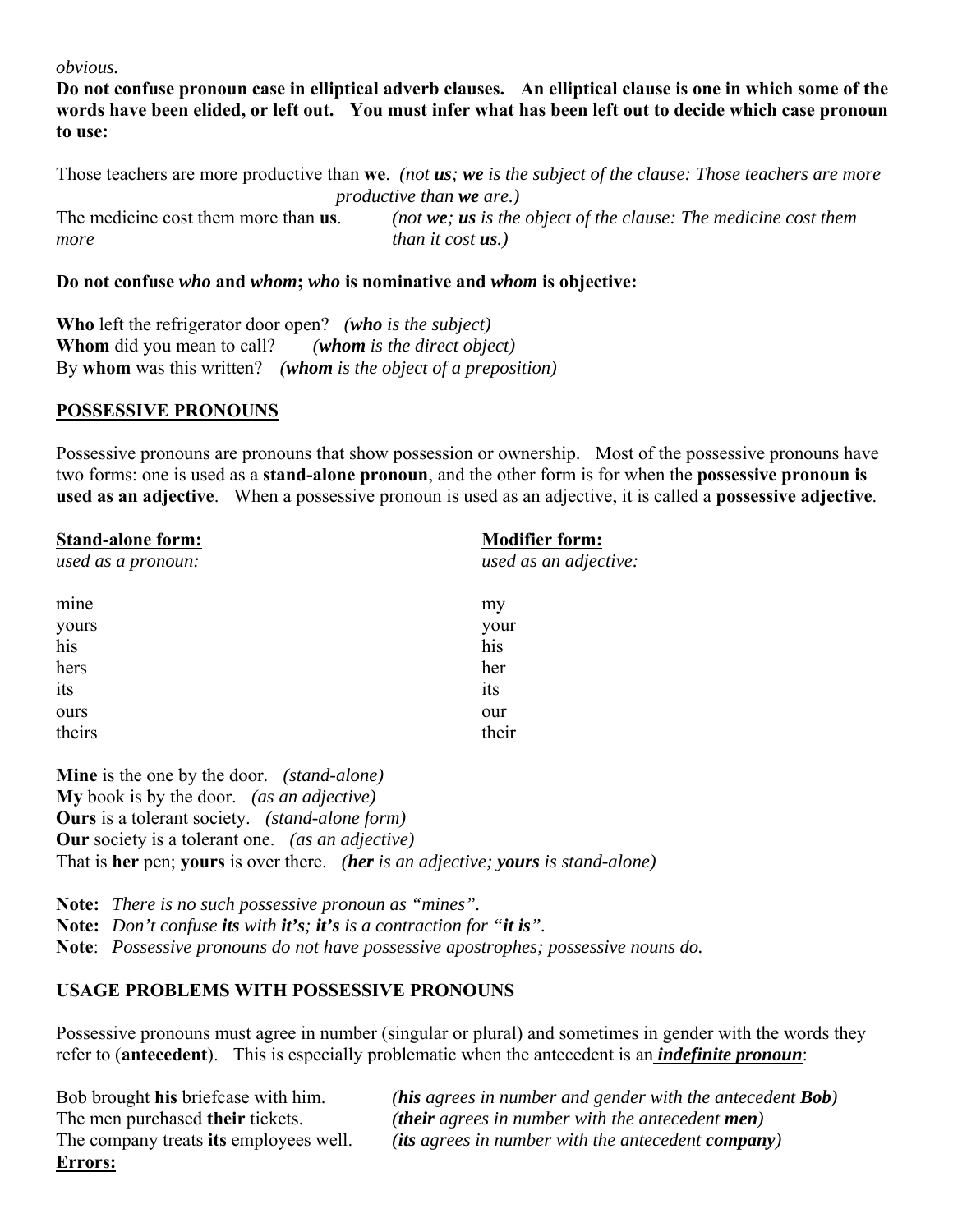#### *obvious.*

**Do not confuse pronoun case in elliptical adverb clauses. An elliptical clause is one in which some of the words have been elided, or left out. You must infer what has been left out to decide which case pronoun to use:**

Those teachers are more productive than **we**. *(not us; we is the subject of the clause: Those teachers are more productive than we are.)* The medicine cost them more than **us**. *(not we; us is the object of the clause: The medicine cost them more than it cost <i>us*.)

#### **Do not confuse** *who* **and** *whom***;** *who* **is nominative and** *whom* **is objective:**

**Who** left the refrigerator door open? *(who is the subject)* **Whom** did you mean to call? *(whom is the direct object)* By **whom** was this written? *(whom is the object of a preposition)*

#### **POSSESSIVE PRONOUNS**

Possessive pronouns are pronouns that show possession or ownership. Most of the possessive pronouns have two forms: one is used as a **stand-alone pronoun**, and the other form is for when the **possessive pronoun is used as an adjective**. When a possessive pronoun is used as an adjective, it is called a **possessive adjective**.

| Stand-alone form:  | <b>Modifier form:</b> |
|--------------------|-----------------------|
| used as a pronoun: | used as an adjective: |
| mine               | my                    |
| yours              | your                  |
| his                | his                   |
| hers               | her                   |
| its                | its                   |
| ours               | our                   |
| theirs             | their                 |

**Mine** is the one by the door. *(stand-alone)* **My** book is by the door. *(as an adjective)* **Ours** is a tolerant society. *(stand-alone form)* **Our** society is a tolerant one. *(as an adjective)* That is **her** pen; **yours** is over there. *(her is an adjective; yours is stand-alone)*

**Note:** *There is no such possessive pronoun as "mines".* **Note:** *Don't confuse its with it's; it's is a contraction for "it is".* **Note**: *Possessive pronouns do not have possessive apostrophes; possessive nouns do.*

## **USAGE PROBLEMS WITH POSSESSIVE PRONOUNS**

Possessive pronouns must agree in number (singular or plural) and sometimes in gender with the words they refer to (**antecedent**). This is especially problematic when the antecedent is an *indefinite pronoun*:

**Errors:**

Bob brought **his** briefcase with him. *(his agrees in number and gender with the antecedent Bob)* The men purchased **their** tickets. *(their agrees in number with the antecedent men)* The company treats **its** employees well. *(its agrees in number with the antecedent company)*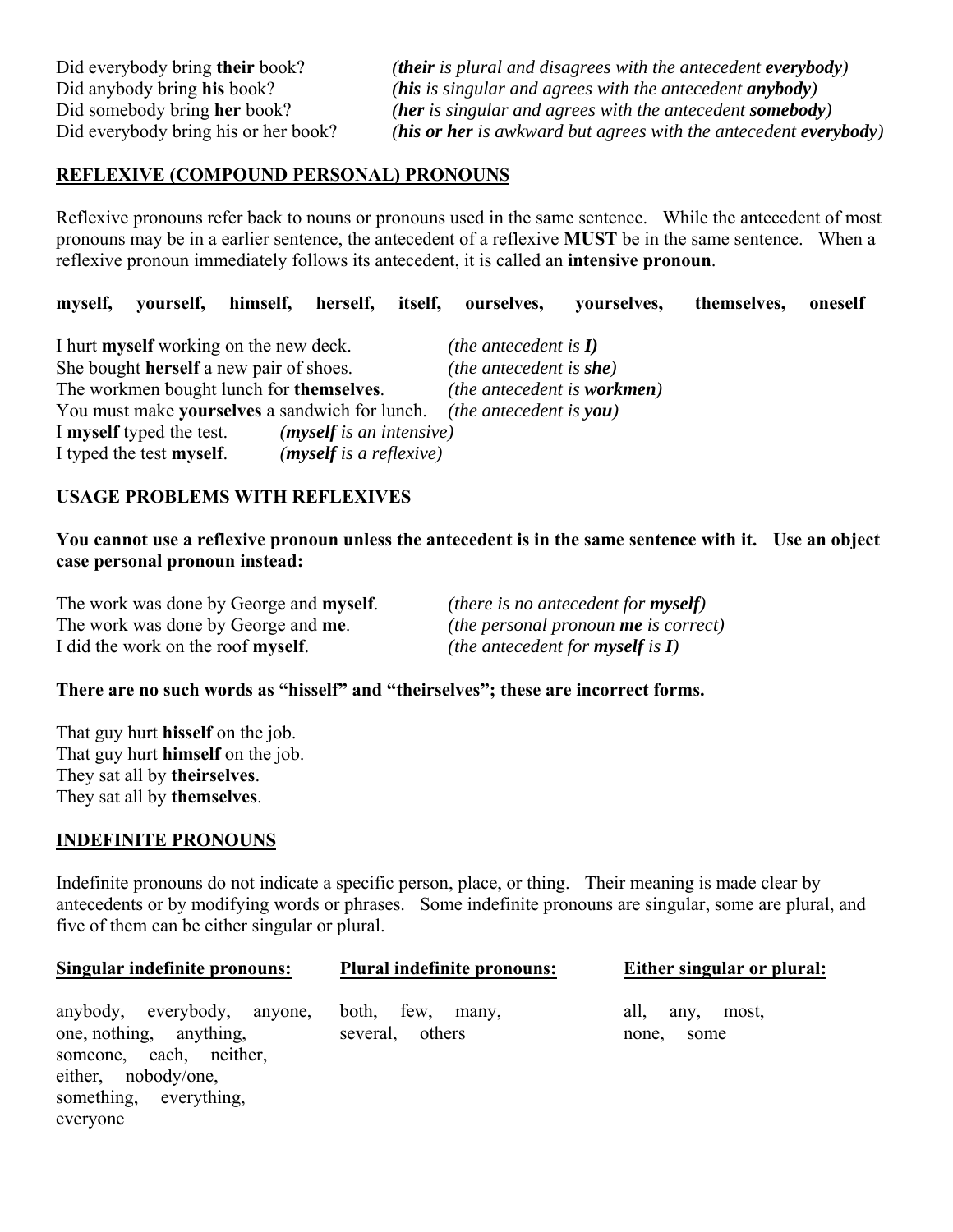Did everybody bring **their** book? *(their is plural and disagrees with the antecedent everybody)* Did anybody bring **his** book? *(his is singular and agrees with the antecedent anybody)* Did somebody bring **her** book? *(her is singular and agrees with the antecedent somebody)* Did everybody bring his or her book? *(his or her is awkward but agrees with the antecedent everybody)*

## **REFLEXIVE (COMPOUND PERSONAL) PRONOUNS**

Reflexive pronouns refer back to nouns or pronouns used in the same sentence. While the antecedent of most pronouns may be in a earlier sentence, the antecedent of a reflexive **MUST** be in the same sentence. When a reflexive pronoun immediately follows its antecedent, it is called an **intensive pronoun**.

**myself, yourself, himself, herself, itself, ourselves, yourselves, themselves, oneself**

| I hurt <b>myself</b> working on the new deck.                          |                          | ( <i>the antecedent is I</i> )     |
|------------------------------------------------------------------------|--------------------------|------------------------------------|
| She bought herself a new pair of shoes.                                |                          | (the antecedent is $she$ )         |
| The workmen bought lunch for themselves.                               |                          | <i>(the antecedent is workmen)</i> |
| You must make yourselves a sandwich for lunch. (the antecedent is you) |                          |                                    |
| I myself typed the test.                                               | (myself is an intensive) |                                    |
| I typed the test myself.                                               | (myself is a reflexive)  |                                    |

#### **USAGE PROBLEMS WITH REFLEXIVES**

**You cannot use a reflexive pronoun unless the antecedent is in the same sentence with it. Use an object case personal pronoun instead:**

| The work was done by George and <b>myself</b> . | ( <i>there is no antecedent for myself</i> )                  |
|-------------------------------------------------|---------------------------------------------------------------|
| The work was done by George and <b>me</b> .     | (the personal pronoun $me$ is correct)                        |
| I did the work on the roof myself.              | ( <i>the antecedent for <b>myself</b> is <math>I</math></i> ) |

#### **There are no such words as "hisself" and "theirselves"; these are incorrect forms.**

That guy hurt **hisself** on the job. That guy hurt **himself** on the job. They sat all by **theirselves**. They sat all by **themselves**.

#### **INDEFINITE PRONOUNS**

Indefinite pronouns do not indicate a specific person, place, or thing. Their meaning is made clear by antecedents or by modifying words or phrases. Some indefinite pronouns are singular, some are plural, and five of them can be either singular or plural.

| Singular indefinite pronouns:                                                                                                                  | <b>Plural indefinite pronouns:</b>     | Either singular or plural:             |  |
|------------------------------------------------------------------------------------------------------------------------------------------------|----------------------------------------|----------------------------------------|--|
| anybody, everybody, anyone,<br>one, nothing, anything,<br>someone, each, neither,<br>either, nobody/one,<br>something, everything,<br>everyone | both, few,<br>many,<br>several, others | all,<br>most,<br>any,<br>none,<br>some |  |
|                                                                                                                                                |                                        |                                        |  |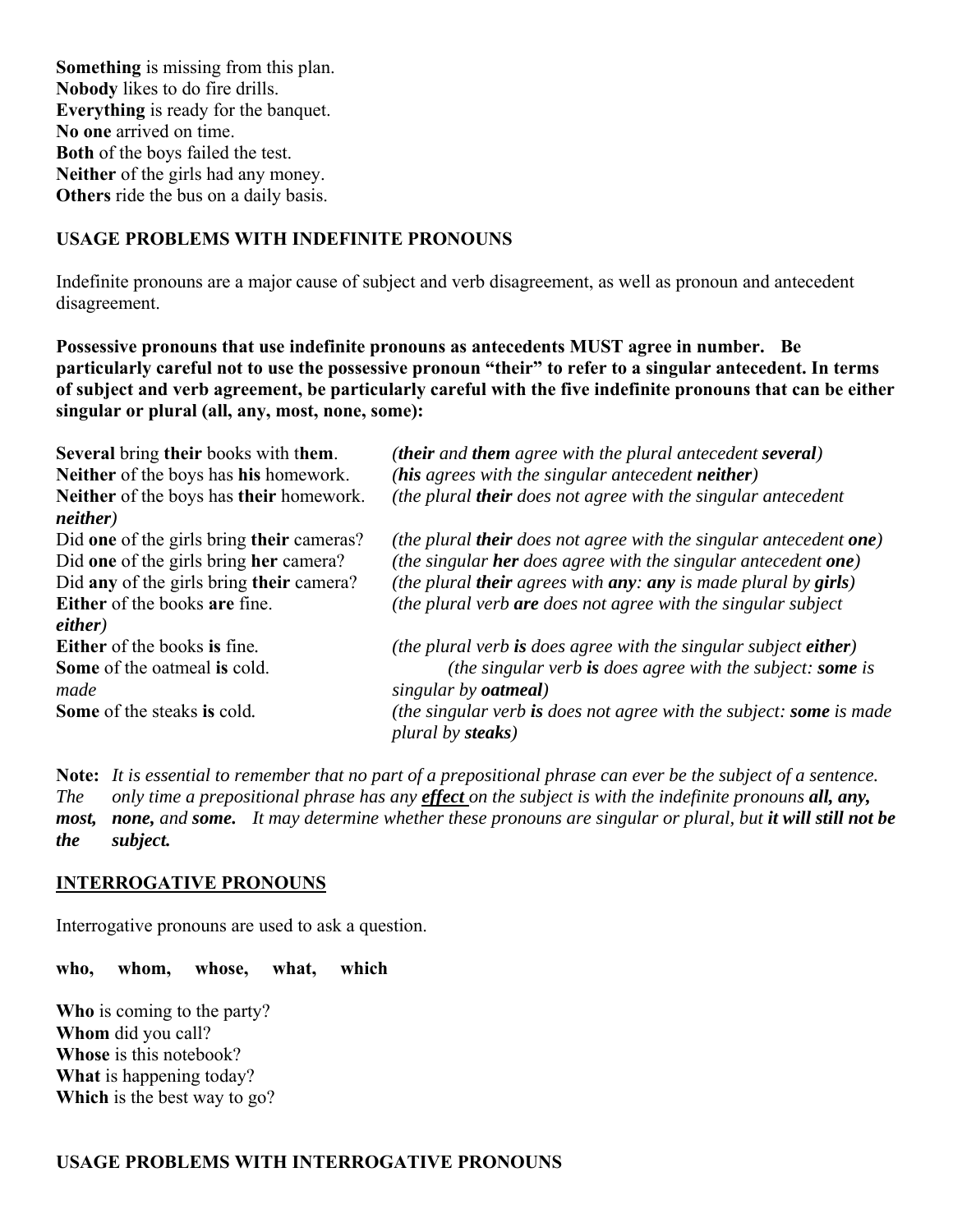**Something** is missing from this plan. **Nobody** likes to do fire drills. **Everything** is ready for the banquet. **No one** arrived on time. **Both** of the boys failed the test. **Neither** of the girls had any money. **Others** ride the bus on a daily basis.

# **USAGE PROBLEMS WITH INDEFINITE PRONOUNS**

Indefinite pronouns are a major cause of subject and verb disagreement, as well as pronoun and antecedent disagreement.

**Possessive pronouns that use indefinite pronouns as antecedents MUST agree in number. Be particularly careful not to use the possessive pronoun "their" to refer to a singular antecedent. In terms of subject and verb agreement, be particularly careful with the five indefinite pronouns that can be either singular or plural (all, any, most, none, some):** 

| <b>Several bring their books with them.</b> | (their and them agree with the plural antecedent several)                         |
|---------------------------------------------|-----------------------------------------------------------------------------------|
| Neither of the boys has his homework.       | (his agrees with the singular antecedent neither)                                 |
| Neither of the boys has their homework.     | (the plural their does not agree with the singular antecedent                     |
| neither)                                    |                                                                                   |
| Did one of the girls bring their cameras?   | (the plural <b>their</b> does not agree with the singular antecedent <b>one</b> ) |
| Did one of the girls bring her camera?      | (the singular her does agree with the singular antecedent one)                    |
| Did any of the girls bring their camera?    | (the plural <b>their</b> agrees with $any: any is made plural by girls)$          |
| Either of the books are fine.               | (the plural verb <b>are</b> does not agree with the singular subject              |
| either)                                     |                                                                                   |
| <b>Either</b> of the books is fine.         | (the plural verb is does agree with the singular subject either)                  |
| Some of the oatmeal is cold.                | (the singular verb is does agree with the subject: some is                        |
| made                                        | singular by <b><i>oatmeal</i></b> )                                               |
| Some of the steaks is cold.                 | (the singular verb is does not agree with the subject: some is made               |
|                                             | plural by steaks)                                                                 |

**Note:** *It is essential to remember that no part of a prepositional phrase can ever be the subject of a sentence. The only time a prepositional phrase has any effect on the subject is with the indefinite pronouns all, any, most, none, and some.**It may determine whether these pronouns are singular or plural, but it will still not be the subject.*

## **INTERROGATIVE PRONOUNS**

Interrogative pronouns are used to ask a question.

**who, whom, whose, what, which**

**Who** is coming to the party? **Whom** did you call? **Whose** is this notebook? **What** is happening today? **Which** is the best way to go?

## **USAGE PROBLEMS WITH INTERROGATIVE PRONOUNS**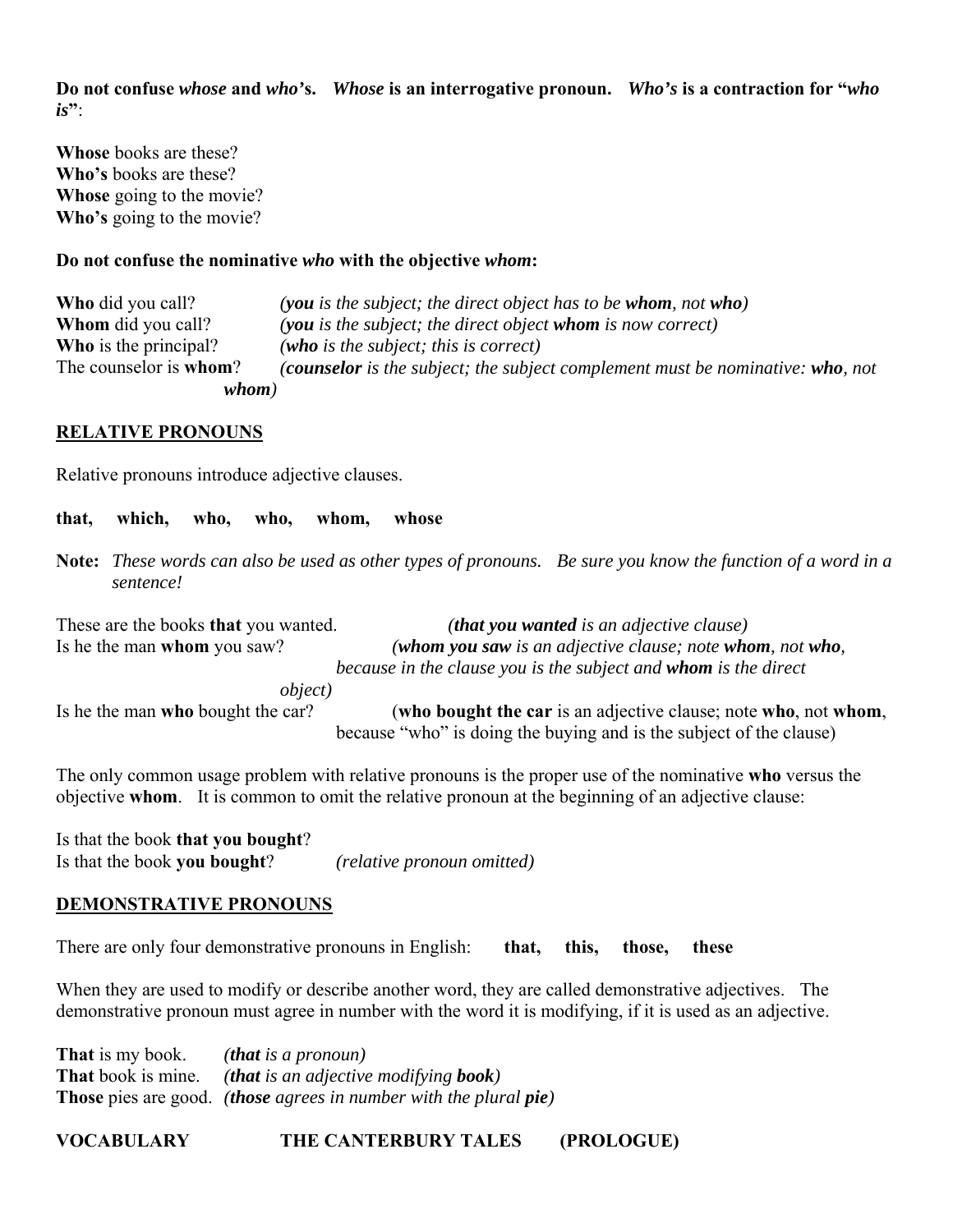**Do not confuse** *whose* **and** *who'***s.** *Whose* **is an interrogative pronoun.** *Who's* **is a contraction for "***who is***"**:

**Whose** books are these? **Who's** books are these? **Whose** going to the movie? **Who's** going to the movie?

#### **Do not confuse the nominative** *who* **with the objective** *whom***:**

| whom)                          |                                                                                |
|--------------------------------|--------------------------------------------------------------------------------|
| The counselor is <b>whom</b> ? | (counselor is the subject; the subject complement must be nominative: who, not |
| <b>Who</b> is the principal?   | (who is the subject; this is correct)                                          |
| <b>Whom</b> did you call?      | (you is the subject; the direct object whom is now correct)                    |
| <b>Who</b> did you call?       | (you is the subject; the direct object has to be whom, not who)                |

#### **RELATIVE PRONOUNS**

Relative pronouns introduce adjective clauses.

**that, which, who, who, whom, whose**

**Note:** *These words can also be used as other types of pronouns. Be sure you know the function of a word in a sentence!*

These are the books **that** you wanted. *(that you wanted is an adjective clause)*  Is he the man **whom** you saw? *(whom you saw is an adjective clause; note whom, not who, because in the clause you is the subject and whom is the direct* 

 *object)* 

Is he the man **who** bought the car? (**who bought the car** is an adjective clause; note **who**, not **whom**, because "who" is doing the buying and is the subject of the clause)

The only common usage problem with relative pronouns is the proper use of the nominative **who** versus the objective **whom**. It is common to omit the relative pronoun at the beginning of an adjective clause:

Is that the book **that you bought**? Is that the book **you bought**? *(relative pronoun omitted)*

## **DEMONSTRATIVE PRONOUNS**

There are only four demonstrative pronouns in English: **that, this, those, these**

When they are used to modify or describe another word, they are called demonstrative adjectives. The demonstrative pronoun must agree in number with the word it is modifying, if it is used as an adjective.

**That** is my book. *(that is a pronoun)* **That** book is mine. *(that is an adjective modifying book)* **Those** pies are good. *(those agrees in number with the plural pie)*

**VOCABULARY THE CANTERBURY TALES (PROLOGUE)**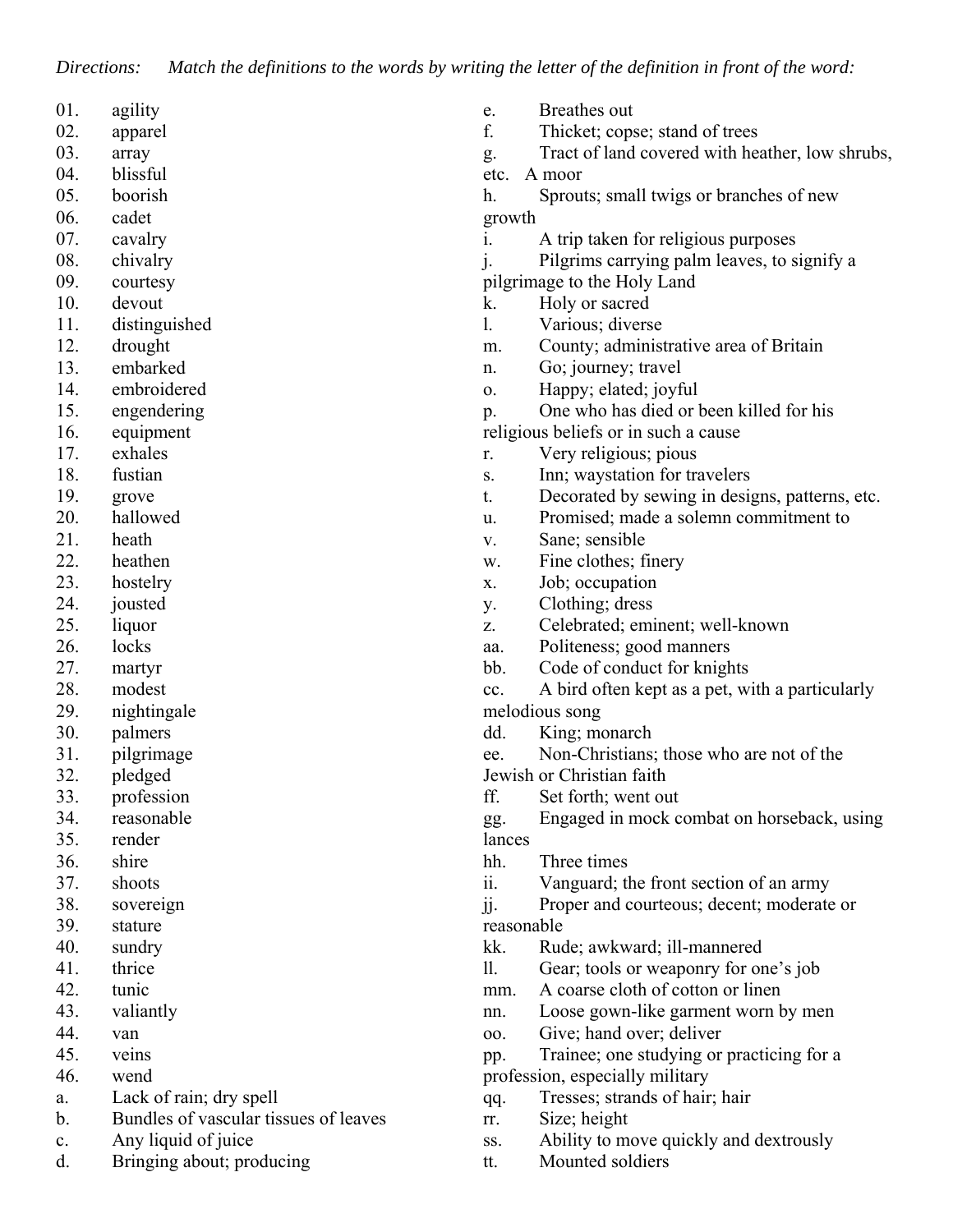*Directions: Match the definitions to the words by writing the letter of the definition in front of the word:*

| 01. | agility                               | e.         | Breathes out                                    |
|-----|---------------------------------------|------------|-------------------------------------------------|
| 02. | apparel                               | f.         | Thicket; copse; stand of trees                  |
| 03. | array                                 | g.         | Tract of land covered with heather, low shrubs, |
| 04. | blissful                              | etc.       | A moor                                          |
| 05. | boorish                               | h.         | Sprouts; small twigs or branches of new         |
| 06. | cadet                                 | growth     |                                                 |
| 07. | cavalry                               | i.         | A trip taken for religious purposes             |
| 08. | chivalry                              |            | Pilgrims carrying palm leaves, to signify a     |
| 09. | courtesy                              |            | pilgrimage to the Holy Land                     |
| 10. | devout                                | k.         | Holy or sacred                                  |
| 11. | distinguished                         | 1.         | Various; diverse                                |
| 12. | drought                               | m.         | County; administrative area of Britain          |
| 13. | embarked                              | n.         | Go; journey; travel                             |
| 14. | embroidered                           | 0.         | Happy; elated; joyful                           |
| 15. | engendering                           | p.         | One who has died or been killed for his         |
| 16. | equipment                             |            | religious beliefs or in such a cause            |
| 17. | exhales                               | r.         | Very religious; pious                           |
| 18. | fustian                               | S.         | Inn; waystation for travelers                   |
| 19. | grove                                 | t.         | Decorated by sewing in designs, patterns, etc.  |
| 20. | hallowed                              | u.         | Promised; made a solemn commitment to           |
| 21. | heath                                 | V.         | Sane; sensible                                  |
| 22. | heathen                               | w.         | Fine clothes; finery                            |
| 23. | hostelry                              | X.         | Job; occupation                                 |
| 24. | jousted                               | у.         | Clothing; dress                                 |
| 25. | liquor                                | Z.         | Celebrated; eminent; well-known                 |
| 26. | locks                                 | aa.        | Politeness; good manners                        |
| 27. | martyr                                | bb.        | Code of conduct for knights                     |
| 28. | modest                                | cc.        | A bird often kept as a pet, with a particularly |
| 29. | nightingale                           |            | melodious song                                  |
| 30. | palmers                               | dd.        | King; monarch                                   |
| 31. | pilgrimage                            | ee.        | Non-Christians; those who are not of the        |
| 32. | pledged                               |            | Jewish or Christian faith                       |
| 33. | profession                            | ff.        | Set forth; went out                             |
| 34. | reasonable                            | gg.        | Engaged in mock combat on horseback, using      |
| 35. | render                                | lances     |                                                 |
| 36. | shire                                 | hh.        | Three times                                     |
| 37. | shoots                                | ii.        | Vanguard; the front section of an army          |
| 38. | sovereign                             | jj.        | Proper and courteous; decent; moderate or       |
| 39. | stature                               | reasonable |                                                 |
| 40. | sundry                                | kk.        | Rude; awkward; ill-mannered                     |
| 41. | thrice                                | 11.        | Gear; tools or weaponry for one's job           |
| 42. | tunic                                 | mm.        | A coarse cloth of cotton or linen               |
| 43. | valiantly                             | nn.        | Loose gown-like garment worn by men             |
| 44. | van                                   | 00.        | Give; hand over; deliver                        |
| 45. | veins                                 | pp.        | Trainee; one studying or practicing for a       |
| 46. | wend                                  |            | profession, especially military                 |
| a.  | Lack of rain; dry spell               | qq.        | Tresses; strands of hair; hair                  |
| b.  | Bundles of vascular tissues of leaves | rr.        | Size; height                                    |
| c.  | Any liquid of juice                   | SS.        | Ability to move quickly and dextrously          |
| d.  | Bringing about; producing             | tt.        | Mounted soldiers                                |
|     |                                       |            |                                                 |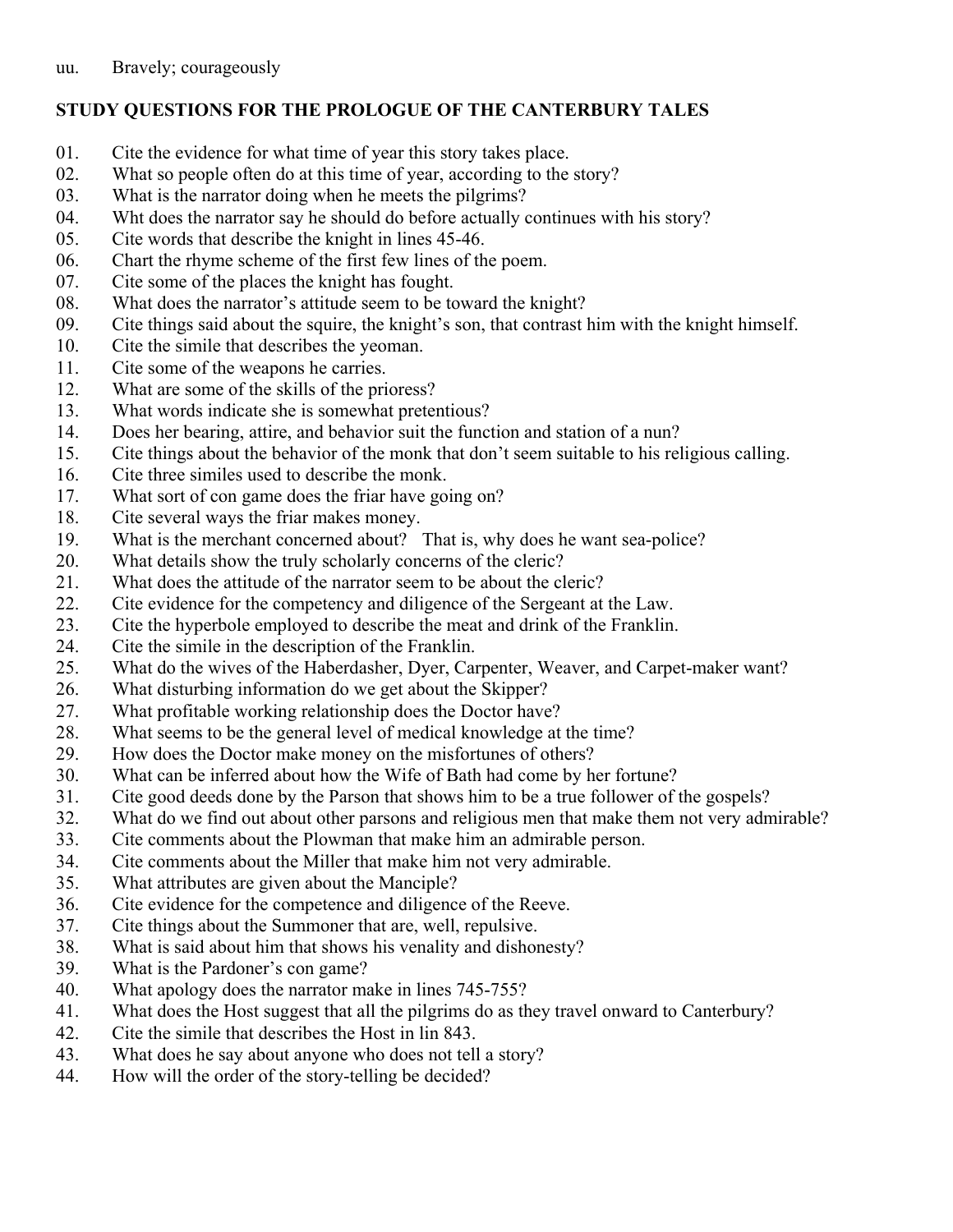# **STUDY QUESTIONS FOR THE PROLOGUE OF THE CANTERBURY TALES**

- 01. Cite the evidence for what time of year this story takes place.
- 02. What so people often do at this time of year, according to the story?
- 03. What is the narrator doing when he meets the pilgrims?
- 04. Wht does the narrator say he should do before actually continues with his story?
- 05. Cite words that describe the knight in lines 45-46.
- 06. Chart the rhyme scheme of the first few lines of the poem.
- 07. Cite some of the places the knight has fought.
- 08. What does the narrator's attitude seem to be toward the knight?
- 09. Cite things said about the squire, the knight's son, that contrast him with the knight himself.
- 10. Cite the simile that describes the yeoman.
- 11. Cite some of the weapons he carries.
- 12. What are some of the skills of the prioress?
- 13. What words indicate she is somewhat pretentious?
- 14. Does her bearing, attire, and behavior suit the function and station of a nun?
- 15. Cite things about the behavior of the monk that don't seem suitable to his religious calling.
- 16. Cite three similes used to describe the monk.
- 17. What sort of con game does the friar have going on?
- 18. Cite several ways the friar makes money.
- 19. What is the merchant concerned about? That is, why does he want sea-police?
- 20. What details show the truly scholarly concerns of the cleric?
- 21. What does the attitude of the narrator seem to be about the cleric?
- 22. Cite evidence for the competency and diligence of the Sergeant at the Law.
- 23. Cite the hyperbole employed to describe the meat and drink of the Franklin.
- 24. Cite the simile in the description of the Franklin.
- 25. What do the wives of the Haberdasher, Dyer, Carpenter, Weaver, and Carpet-maker want?
- 26. What disturbing information do we get about the Skipper?
- 27. What profitable working relationship does the Doctor have?
- 28. What seems to be the general level of medical knowledge at the time?
- 29. How does the Doctor make money on the misfortunes of others?
- 30. What can be inferred about how the Wife of Bath had come by her fortune?
- 31. Cite good deeds done by the Parson that shows him to be a true follower of the gospels?
- 32. What do we find out about other parsons and religious men that make them not very admirable?
- 33. Cite comments about the Plowman that make him an admirable person.
- 34. Cite comments about the Miller that make him not very admirable.
- 35. What attributes are given about the Manciple?
- 36. Cite evidence for the competence and diligence of the Reeve.
- 37. Cite things about the Summoner that are, well, repulsive.
- 38. What is said about him that shows his venality and dishonesty?
- 39. What is the Pardoner's con game?
- 40. What apology does the narrator make in lines 745-755?
- 41. What does the Host suggest that all the pilgrims do as they travel onward to Canterbury?
- 42. Cite the simile that describes the Host in lin 843.
- 43. What does he say about anyone who does not tell a story?
- 44. How will the order of the story-telling be decided?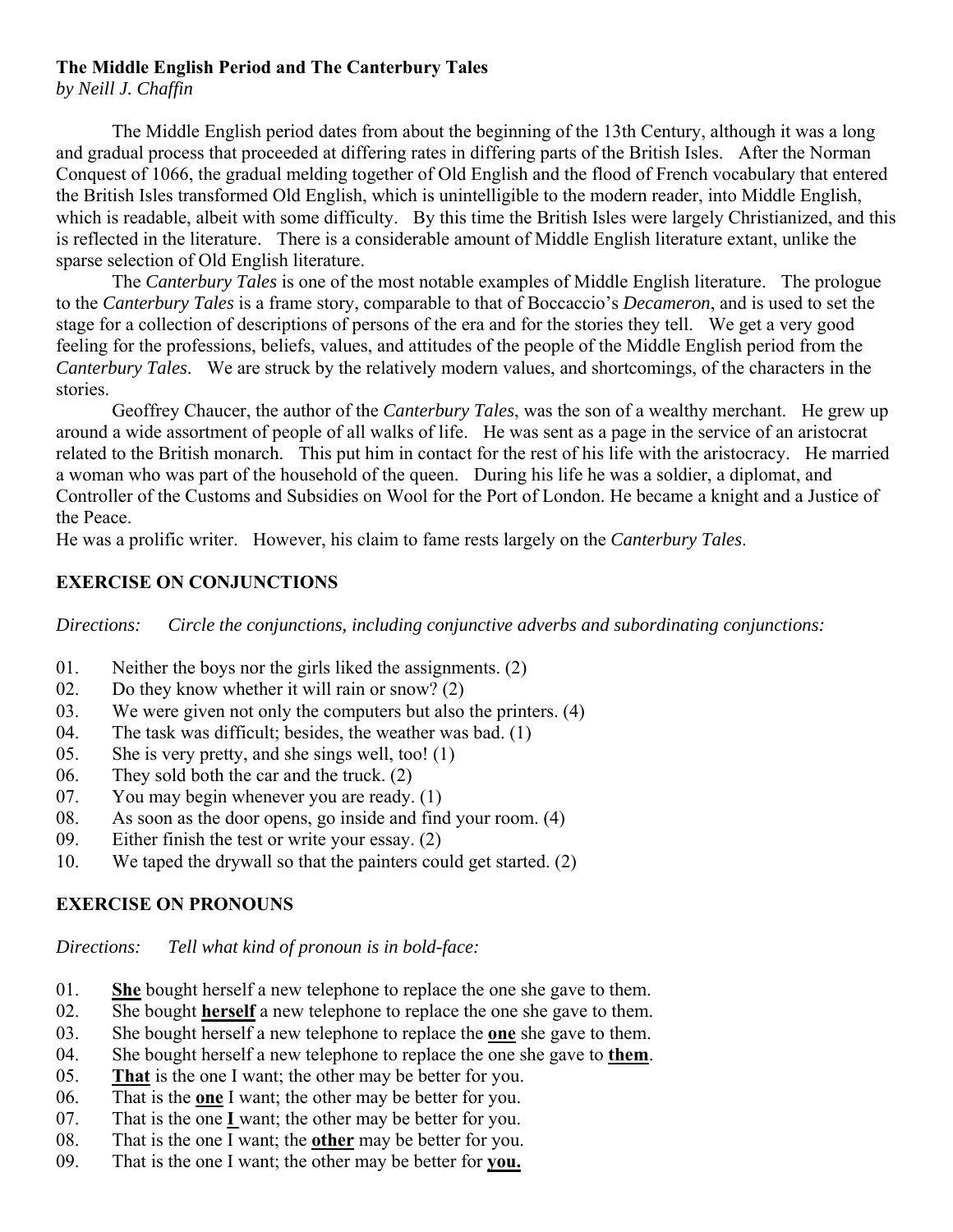# **The Middle English Period and The Canterbury Tales**

*by Neill J. Chaffin*

 The Middle English period dates from about the beginning of the 13th Century, although it was a long and gradual process that proceeded at differing rates in differing parts of the British Isles. After the Norman Conquest of 1066, the gradual melding together of Old English and the flood of French vocabulary that entered the British Isles transformed Old English, which is unintelligible to the modern reader, into Middle English, which is readable, albeit with some difficulty. By this time the British Isles were largely Christianized, and this is reflected in the literature. There is a considerable amount of Middle English literature extant, unlike the sparse selection of Old English literature.

 The *Canterbury Tales* is one of the most notable examples of Middle English literature. The prologue to the *Canterbury Tales* is a frame story, comparable to that of Boccaccio's *Decameron*, and is used to set the stage for a collection of descriptions of persons of the era and for the stories they tell. We get a very good feeling for the professions, beliefs, values, and attitudes of the people of the Middle English period from the *Canterbury Tales*. We are struck by the relatively modern values, and shortcomings, of the characters in the stories.

 Geoffrey Chaucer, the author of the *Canterbury Tales*, was the son of a wealthy merchant. He grew up around a wide assortment of people of all walks of life. He was sent as a page in the service of an aristocrat related to the British monarch. This put him in contact for the rest of his life with the aristocracy. He married a woman who was part of the household of the queen. During his life he was a soldier, a diplomat, and Controller of the Customs and Subsidies on Wool for the Port of London. He became a knight and a Justice of the Peace.

He was a prolific writer. However, his claim to fame rests largely on the *Canterbury Tales*.

# **EXERCISE ON CONJUNCTIONS**

*Directions: Circle the conjunctions, including conjunctive adverbs and subordinating conjunctions:*

- 01. Neither the boys nor the girls liked the assignments. (2)
- 02. Do they know whether it will rain or snow? (2)
- 03. We were given not only the computers but also the printers. (4)
- 04. The task was difficult; besides, the weather was bad. (1)
- 05. She is very pretty, and she sings well, too! (1)
- 06. They sold both the car and the truck. (2)
- 07. You may begin whenever you are ready. (1)
- 08. As soon as the door opens, go inside and find your room. (4)
- 09. Either finish the test or write your essay. (2)
- 10. We taped the drywall so that the painters could get started. (2)

## **EXERCISE ON PRONOUNS**

*Directions: Tell what kind of pronoun is in bold-face:*

- 01. **She** bought herself a new telephone to replace the one she gave to them.
- 02. She bought **herself** a new telephone to replace the one she gave to them.
- 03. She bought herself a new telephone to replace the **one** she gave to them.
- 04. She bought herself a new telephone to replace the one she gave to **them**.
- 05. **That** is the one I want; the other may be better for you.
- 06. That is the **one** I want; the other may be better for you.
- 07. That is the one **I** want; the other may be better for you.
- 08. That is the one I want; the **other** may be better for you.
- 09. That is the one I want; the other may be better for **you.**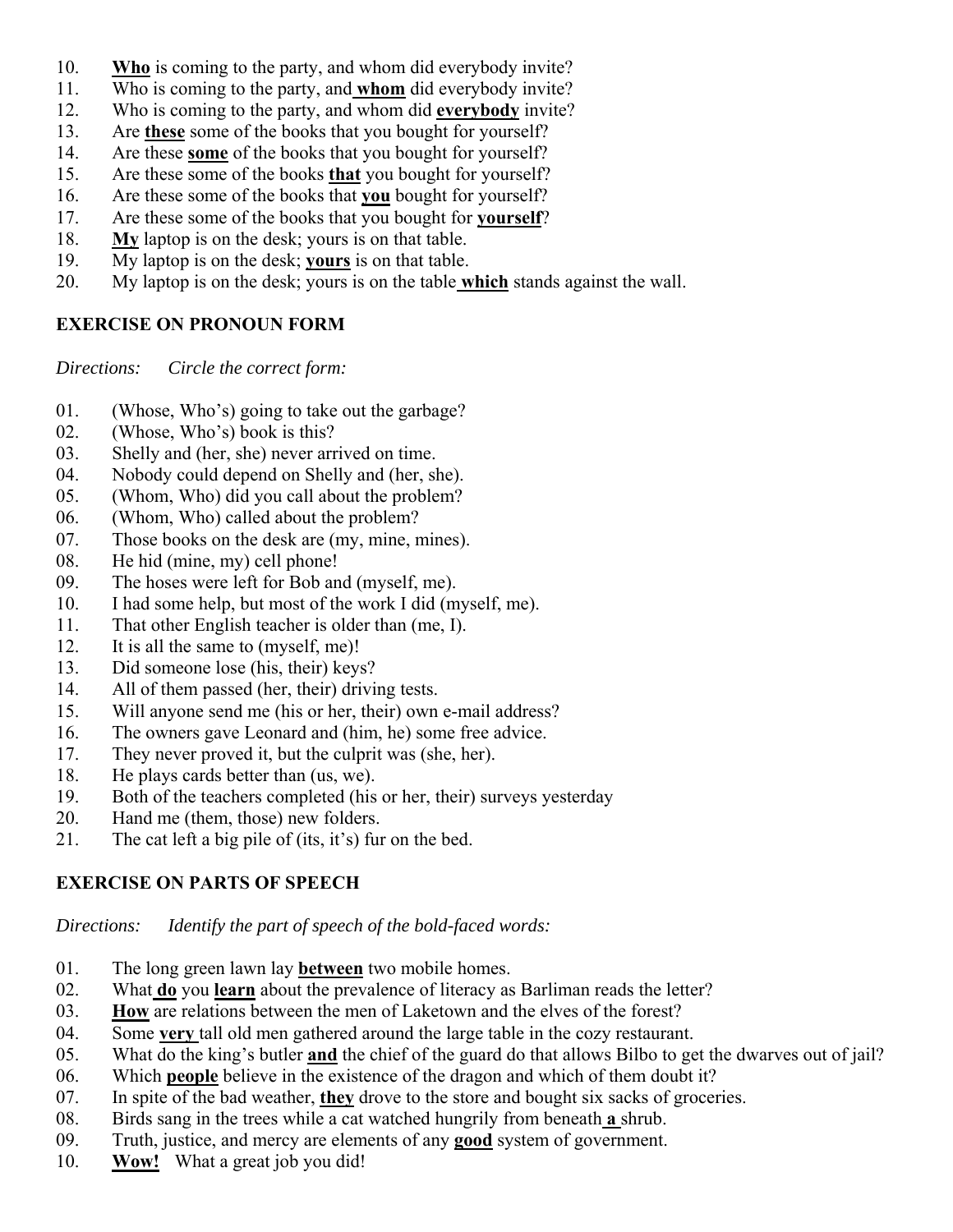- 10. **Who** is coming to the party, and whom did everybody invite?
- 11. Who is coming to the party, and **whom** did everybody invite?
- 12. Who is coming to the party, and whom did **everybody** invite?
- 13. Are **these** some of the books that you bought for yourself?
- 14. Are these **some** of the books that you bought for yourself?
- 15. Are these some of the books **that** you bought for yourself?
- 16. Are these some of the books that **you** bought for yourself?
- 17. Are these some of the books that you bought for **yourself**?
- 18. **My** laptop is on the desk; yours is on that table.
- 19. My laptop is on the desk; **yours** is on that table.
- 20. My laptop is on the desk; yours is on the table **which** stands against the wall.

# **EXERCISE ON PRONOUN FORM**

*Directions: Circle the correct form:*

- 01. (Whose, Who's) going to take out the garbage?
- 02. (Whose, Who's) book is this?
- 03. Shelly and (her, she) never arrived on time.
- 04. Nobody could depend on Shelly and (her, she).
- 05. (Whom, Who) did you call about the problem?
- 06. (Whom, Who) called about the problem?
- 07. Those books on the desk are (my, mine, mines).
- 08. He hid (mine, my) cell phone!
- 09. The hoses were left for Bob and (myself, me).
- 10. I had some help, but most of the work I did (myself, me).
- 11. That other English teacher is older than (me, I).
- 12. It is all the same to (myself, me)!
- 13. Did someone lose (his, their) keys?
- 14. All of them passed (her, their) driving tests.
- 15. Will anyone send me (his or her, their) own e-mail address?
- 16. The owners gave Leonard and (him, he) some free advice.
- 17. They never proved it, but the culprit was (she, her).
- 18. He plays cards better than (us, we).
- 19. Both of the teachers completed (his or her, their) surveys yesterday
- 20. Hand me (them, those) new folders.
- 21. The cat left a big pile of (its, it's) fur on the bed.

# **EXERCISE ON PARTS OF SPEECH**

*Directions: Identify the part of speech of the bold-faced words:*

- 01. The long green lawn lay **between** two mobile homes.
- 02. What **do** you **learn** about the prevalence of literacy as Barliman reads the letter?
- 03. **How** are relations between the men of Laketown and the elves of the forest?
- 04. Some **very** tall old men gathered around the large table in the cozy restaurant.
- 05. What do the king's butler **and** the chief of the guard do that allows Bilbo to get the dwarves out of jail?
- 06. Which **people** believe in the existence of the dragon and which of them doubt it?
- 07. In spite of the bad weather, **they** drove to the store and bought six sacks of groceries.
- 08. Birds sang in the trees while a cat watched hungrily from beneath **a** shrub.
- 09. Truth, justice, and mercy are elements of any **good** system of government.
- 10. **Wow!** What a great job you did!